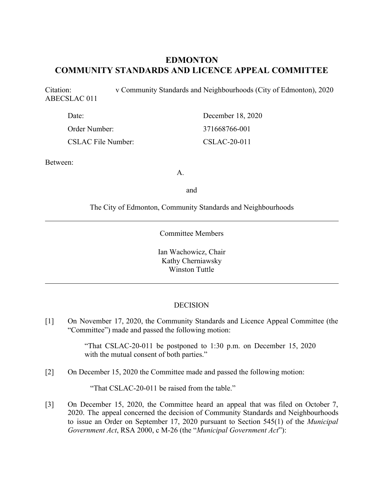# **EDMONTON COMMUNITY STANDARDS AND LICENCE APPEAL COMMITTEE**

Citation: v Community Standards and Neighbourhoods (City of Edmonton), 2020 ABECSLAC 011

| Date:                     | December 18, 2020 |  |
|---------------------------|-------------------|--|
| Order Number:             | 371668766-001     |  |
| <b>CSLAC File Number:</b> | CSLAC-20-011      |  |

Between:

A.

and

The City of Edmonton, Community Standards and Neighbourhoods

Committee Members

Ian Wachowicz, Chair Kathy Cherniawsky Winston Tuttle

#### DECISION

[1] On November 17, 2020, the Community Standards and Licence Appeal Committee (the "Committee") made and passed the following motion:

> "That CSLAC-20-011 be postponed to 1:30 p.m. on December 15, 2020 with the mutual consent of both parties."

[2] On December 15, 2020 the Committee made and passed the following motion:

"That CSLAC-20-011 be raised from the table."

[3] On December 15, 2020, the Committee heard an appeal that was filed on October 7, 2020. The appeal concerned the decision of Community Standards and Neighbourhoods to issue an Order on September 17, 2020 pursuant to Section 545(1) of the *Municipal Government Act*, RSA 2000, c M-26 (the "*Municipal Government Act*"):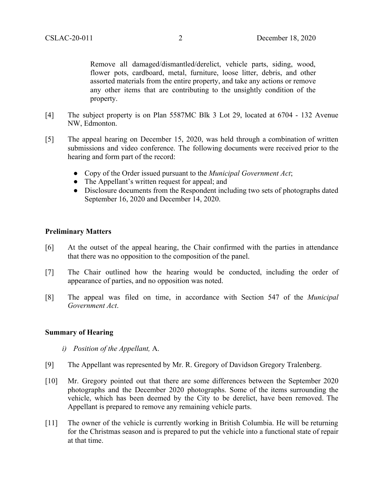Remove all damaged/dismantled/derelict, vehicle parts, siding, wood, flower pots, cardboard, metal, furniture, loose litter, debris, and other assorted materials from the entire property, and take any actions or remove any other items that are contributing to the unsightly condition of the property.

- [4] The subject property is on Plan 5587MC Blk 3 Lot 29, located at 6704 132 Avenue NW, Edmonton.
- [5] The appeal hearing on December 15, 2020, was held through a combination of written submissions and video conference. The following documents were received prior to the hearing and form part of the record:
	- Copy of the Order issued pursuant to the *Municipal Government Act*;
	- The Appellant's written request for appeal; and
	- Disclosure documents from the Respondent including two sets of photographs dated September 16, 2020 and December 14, 2020.

## **Preliminary Matters**

- [6] At the outset of the appeal hearing, the Chair confirmed with the parties in attendance that there was no opposition to the composition of the panel.
- [7] The Chair outlined how the hearing would be conducted, including the order of appearance of parties, and no opposition was noted.
- [8] The appeal was filed on time, in accordance with Section 547 of the *Municipal Government Act*.

## **Summary of Hearing**

- *i) Position of the Appellant,* A.
- [9] The Appellant was represented by Mr. R. Gregory of Davidson Gregory Tralenberg.
- [10] Mr. Gregory pointed out that there are some differences between the September 2020 photographs and the December 2020 photographs. Some of the items surrounding the vehicle, which has been deemed by the City to be derelict, have been removed. The Appellant is prepared to remove any remaining vehicle parts.
- [11] The owner of the vehicle is currently working in British Columbia. He will be returning for the Christmas season and is prepared to put the vehicle into a functional state of repair at that time.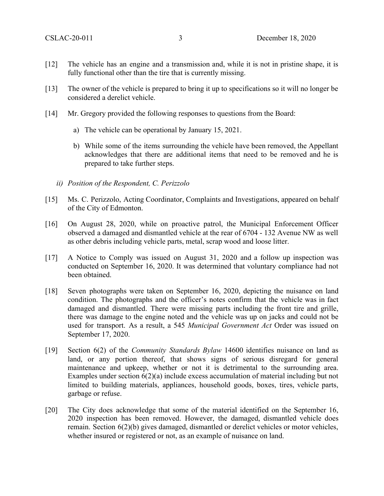- [12] The vehicle has an engine and a transmission and, while it is not in pristine shape, it is fully functional other than the tire that is currently missing.
- [13] The owner of the vehicle is prepared to bring it up to specifications so it will no longer be considered a derelict vehicle.
- [14] Mr. Gregory provided the following responses to questions from the Board:
	- a) The vehicle can be operational by January 15, 2021.
	- b) While some of the items surrounding the vehicle have been removed, the Appellant acknowledges that there are additional items that need to be removed and he is prepared to take further steps.
	- *ii) Position of the Respondent, C. Perizzolo*
- [15] Ms. C. Perizzolo, Acting Coordinator, Complaints and Investigations, appeared on behalf of the City of Edmonton.
- [16] On August 28, 2020, while on proactive patrol, the Municipal Enforcement Officer observed a damaged and dismantled vehicle at the rear of 6704 - 132 Avenue NW as well as other debris including vehicle parts, metal, scrap wood and loose litter.
- [17] A Notice to Comply was issued on August 31, 2020 and a follow up inspection was conducted on September 16, 2020. It was determined that voluntary compliance had not been obtained.
- [18] Seven photographs were taken on September 16, 2020, depicting the nuisance on land condition. The photographs and the officer's notes confirm that the vehicle was in fact damaged and dismantled. There were missing parts including the front tire and grille, there was damage to the engine noted and the vehicle was up on jacks and could not be used for transport. As a result, a 545 *Municipal Government Act* Order was issued on September 17, 2020.
- [19] Section 6(2) of the *Community Standards Bylaw* 14600 identifies nuisance on land as land, or any portion thereof, that shows signs of serious disregard for general maintenance and upkeep, whether or not it is detrimental to the surrounding area. Examples under section 6(2)(a) include excess accumulation of material including but not limited to building materials, appliances, household goods, boxes, tires, vehicle parts, garbage or refuse.
- [20] The City does acknowledge that some of the material identified on the September 16, 2020 inspection has been removed. However, the damaged, dismantled vehicle does remain. Section 6(2)(b) gives damaged, dismantled or derelict vehicles or motor vehicles, whether insured or registered or not, as an example of nuisance on land.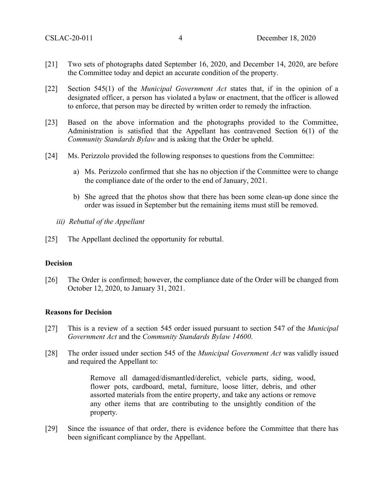- [21] Two sets of photographs dated September 16, 2020, and December 14, 2020, are before the Committee today and depict an accurate condition of the property.
- [22] Section 545(1) of the *Municipal Government Act* states that, if in the opinion of a designated officer, a person has violated a bylaw or enactment, that the officer is allowed to enforce, that person may be directed by written order to remedy the infraction.
- [23] Based on the above information and the photographs provided to the Committee, Administration is satisfied that the Appellant has contravened Section 6(1) of the *Community Standards Bylaw* and is asking that the Order be upheld.
- [24] Ms. Perizzolo provided the following responses to questions from the Committee:
	- a) Ms. Perizzolo confirmed that she has no objection if the Committee were to change the compliance date of the order to the end of January, 2021.
	- b) She agreed that the photos show that there has been some clean-up done since the order was issued in September but the remaining items must still be removed.
	- *iii) Rebuttal of the Appellant*
- [25] The Appellant declined the opportunity for rebuttal.

#### **Decision**

[26] The Order is confirmed; however, the compliance date of the Order will be changed from October 12, 2020, to January 31, 2021.

#### **Reasons for Decision**

- [27] This is a review of a section 545 order issued pursuant to section 547 of the *Municipal Government Act* and the *Community Standards Bylaw 14600*.
- [28] The order issued under section 545 of the *Municipal Government Act* was validly issued and required the Appellant to:

Remove all damaged/dismantled/derelict, vehicle parts, siding, wood, flower pots, cardboard, metal, furniture, loose litter, debris, and other assorted materials from the entire property, and take any actions or remove any other items that are contributing to the unsightly condition of the property.

[29] Since the issuance of that order, there is evidence before the Committee that there has been significant compliance by the Appellant.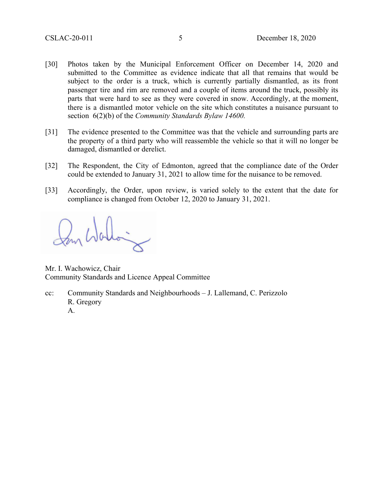- [30] Photos taken by the Municipal Enforcement Officer on December 14, 2020 and submitted to the Committee as evidence indicate that all that remains that would be subject to the order is a truck, which is currently partially dismantled, as its front passenger tire and rim are removed and a couple of items around the truck, possibly its parts that were hard to see as they were covered in snow. Accordingly, at the moment, there is a dismantled motor vehicle on the site which constitutes a nuisance pursuant to section 6(2)(b) of the *Community Standards Bylaw 14600.*
- [31] The evidence presented to the Committee was that the vehicle and surrounding parts are the property of a third party who will reassemble the vehicle so that it will no longer be damaged, dismantled or derelict.
- [32] The Respondent, the City of Edmonton, agreed that the compliance date of the Order could be extended to January 31, 2021 to allow time for the nuisance to be removed.
- [33] Accordingly, the Order, upon review, is varied solely to the extent that the date for compliance is changed from October 12, 2020 to January 31, 2021.

Mr. I. Wachowicz, Chair Community Standards and Licence Appeal Committee

cc: Community Standards and Neighbourhoods – J. Lallemand, C. Perizzolo R. Gregory A.